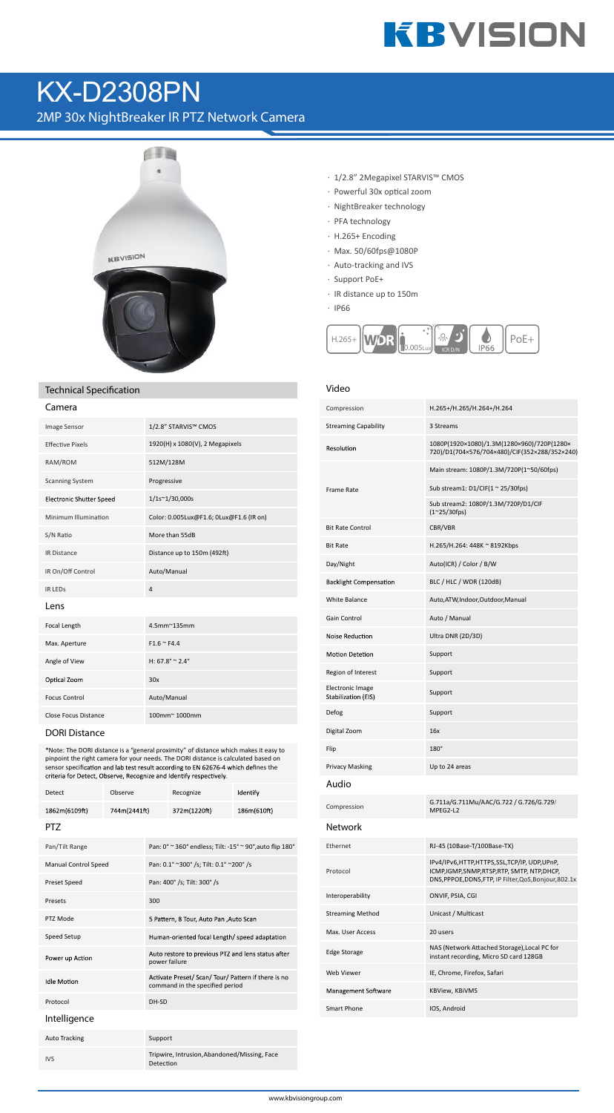# **KBVISION**

## **KX-D2308PN**

2MP 30x NightBreaker IR PTZ Network Camera



### **Technical Specification**

| Lamera                          |                                         |
|---------------------------------|-----------------------------------------|
| <b>Image Sensor</b>             | 1/2.8" STARVIS™ CMOS                    |
| <b>Effective Pixels</b>         | 1920(H) x 1080(V), 2 Megapixels         |
| RAM/ROM                         | 512M/128M                               |
| <b>Scanning System</b>          | Progressive                             |
| <b>Electronic Shutter Speed</b> | 1/1s~1/30,000s                          |
| Minimum Illumination            | Color: 0.005Lux@F1.6; 0Lux@F1.6 (IR on) |
| S/N Ratio                       | More than 55dB                          |
| <b>IR Distance</b>              | Distance up to 150m (492ft)             |
| IR On/Off Control               | Auto/Manual                             |
| <b>IR LEDS</b>                  | $\overline{4}$                          |
| Lens                            |                                         |
| Focal Length                    | 4.5mm~135mm                             |
| Max. Aperture                   | $F1.6 \approx F4.4$                     |
| Angle of View                   | H: $67.8^{\circ} \approx 2.4^{\circ}$   |
| Optical Zoom                    | 30x                                     |
| <b>Focus Control</b>            | Auto/Manual                             |
| <b>Close Focus Distance</b>     | 100mm~1000mm                            |
|                                 |                                         |

**DORI Distance** 

\*Note: The DORI distance is a "general proximity" of distance which makes it easy to From the right canners for your needs. The DORI distance is calculated based on<br>sensor specification and lab test result according to EN 62676-4 which defines the<br>sensor specification and lab test result according to EN 62 criteria for Detect, Observe, Recognize and Identify respectively.

| <b>Detect</b>               | Observe      |                                                                     | Recognize                                                                              | Identify    |  |  |
|-----------------------------|--------------|---------------------------------------------------------------------|----------------------------------------------------------------------------------------|-------------|--|--|
| 1862m(6109ft)               | 744m(2441ft) |                                                                     | 372m(1220ft)                                                                           | 186m(610ft) |  |  |
| <b>PTZ</b>                  |              |                                                                     |                                                                                        |             |  |  |
| Pan/Tilt Range              |              |                                                                     | Pan: 0° ~ 360° endless; Tilt: -15° ~ 90°, auto flip 180°                               |             |  |  |
| <b>Manual Control Speed</b> |              | Pan: 0.1° ~300° /s; Tilt: 0.1° ~200° /s                             |                                                                                        |             |  |  |
| <b>Preset Speed</b>         |              | Pan: 400° /s; Tilt: 300° /s                                         |                                                                                        |             |  |  |
| Presets                     |              | 300                                                                 |                                                                                        |             |  |  |
| PTZ Mode                    |              | 5 Pattern, 8 Tour, Auto Pan , Auto Scan                             |                                                                                        |             |  |  |
| Speed Setup                 |              | Human-oriented focal Length/ speed adaptation                       |                                                                                        |             |  |  |
| Power up Action             |              | Auto restore to previous PTZ and lens status after<br>power failure |                                                                                        |             |  |  |
| <b>Idle Motion</b>          |              |                                                                     | Activate Preset/ Scan/ Tour/ Pattern if there is no<br>command in the specified period |             |  |  |
| Protocol                    |              | DH-SD                                                               |                                                                                        |             |  |  |
| Intelligence                |              |                                                                     |                                                                                        |             |  |  |
| <b>Auto Tracking</b>        |              | Support                                                             |                                                                                        |             |  |  |
| <b>IVS</b>                  |              | Detection                                                           | Tripwire, Intrusion, Abandoned/Missing, Face                                           |             |  |  |

- · 1/2.8" 2Megapixel STARVIS™ CMOS
- · Powerful 30x optical zoom
- · NightBreaker technology
- · PFA technology
- $·$  H.265+ Encoding
- · Max. 50/60fps@1080P
- · Auto-tracking and IVS
- · Support PoE+
- $\cdot$  IR distance up to 150m
- $\cdot$  IP66



#### Video

| Compression                                    | H.265+/H.265/H.264+/H.264                                                                                                                        |
|------------------------------------------------|--------------------------------------------------------------------------------------------------------------------------------------------------|
| <b>Streaming Capability</b>                    | 3 Streams                                                                                                                                        |
| Resolution                                     | 1080P(1920×1080)/1.3M(1280×960)/720P(1280×<br>720)/D1(704×576/704×480)/CIF(352×288/352×240)                                                      |
|                                                | Main stream: 1080P/1.3M/720P(1~50/60fps)                                                                                                         |
| Frame Rate                                     | Sub stream1: $D1/CIF(1 ~ 25/30fps)$                                                                                                              |
|                                                | Sub stream2: 1080P/1.3M/720P/D1/CIF<br>$(1^{\sim}25/30$ fps)                                                                                     |
| <b>Bit Rate Control</b>                        | CBR/VBR                                                                                                                                          |
| <b>Bit Rate</b>                                | H.265/H.264: 448K ~ 8192Kbps                                                                                                                     |
| Day/Night                                      | Auto(ICR) / Color / B/W                                                                                                                          |
| <b>Backlight Compensation</b>                  | BLC / HLC / WDR (120dB)                                                                                                                          |
| <b>White Balance</b>                           | Auto, ATW, Indoor, Outdoor, Manual                                                                                                               |
| Gain Control                                   | Auto / Manual                                                                                                                                    |
| <b>Noise Reduction</b>                         | Ultra DNR (2D/3D)                                                                                                                                |
| <b>Motion Detetion</b>                         | Support                                                                                                                                          |
| Region of Interest                             | Support                                                                                                                                          |
| <b>Electronic Image</b><br>Stabilization (EIS) | Support                                                                                                                                          |
| Defog                                          | Support                                                                                                                                          |
| Digital Zoom                                   | 16x                                                                                                                                              |
| Flip                                           | 180°                                                                                                                                             |
| <b>Privacy Masking</b>                         | Up to 24 areas                                                                                                                                   |
| Audio                                          |                                                                                                                                                  |
| Compression                                    | G.711a/G.711Mu/AAC/G.722 / G.726/G.729/<br>MPEG2-L2                                                                                              |
| Network                                        |                                                                                                                                                  |
| Ethernet                                       | RJ-45 (10Base-T/100Base-TX)                                                                                                                      |
| Protocol                                       | IPv4/IPv6,HTTP,HTTPS,SSL,TCP/IP, UDP,UPnP,<br>ICMP,IGMP,SNMP,RTSP,RTP, SMTP, NTP,DHCP,<br>DNS, PPPOE, DDNS, FTP, IP Filter, QoS, Bonjour, 802.1x |
| Interoperability                               | ONVIF, PSIA, CGI                                                                                                                                 |
| <b>Streaming Method</b>                        | Unicast / Multicast                                                                                                                              |
| Max. User Access                               | 20 users                                                                                                                                         |
| <b>Edge Storage</b>                            | NAS (Network Attached Storage),Local PC for<br>instant recording, Micro SD card 128GB                                                            |
| Web Viewer                                     | IE, Chrome, Firefox, Safari                                                                                                                      |
| Management Software                            | KBView, KBiVMS                                                                                                                                   |
| <b>Smart Phone</b>                             | IOS, Android                                                                                                                                     |